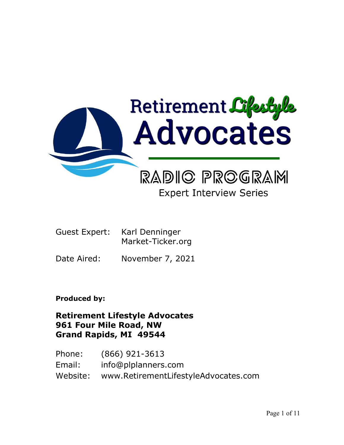

# **Expert Interview Series**

- Guest Expert: Karl Denninger Market-Ticker.org
- Date Aired: November 7, 2021

**Produced by:**

**Retirement Lifestyle Advocates 961 Four Mile Road, NW Grand Rapids, MI 49544**

Phone: (866) 921-3613 Email: info@plplanners.com Website: www.RetirementLifestyleAdvocates.com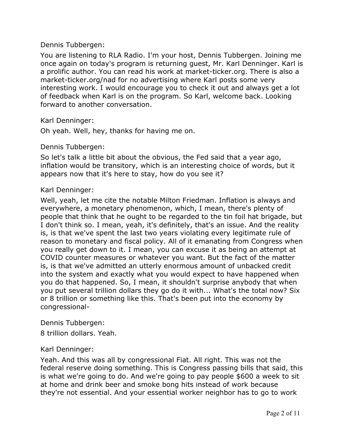## Dennis Tubbergen:

You are listening to RLA Radio. I'm your host, Dennis Tubbergen. Joining me once again on today's program is returning guest, Mr. Karl Denninger. Karl is a prolific author. You can read his work at market-ticker.org. There is also a market-ticker.org/nad for no advertising where Karl posts some very interesting work. I would encourage you to check it out and always get a lot of feedback when Karl is on the program. So Karl, welcome back. Looking forward to another conversation.

Karl Denninger:

Oh yeah. Well, hey, thanks for having me on.

## Dennis Tubbergen:

So let's talk a little bit about the obvious, the Fed said that a year ago, inflation would be transitory, which is an interesting choice of words, but it appears now that it's here to stay, how do you see it?

## Karl Denninger:

Well, yeah, let me cite the notable Milton Friedman. Inflation is always and everywhere, a monetary phenomenon, which, I mean, there's plenty of people that think that he ought to be regarded to the tin foil hat brigade, but I don't think so. I mean, yeah, it's definitely, that's an issue. And the reality is, is that we've spent the last two years violating every legitimate rule of reason to monetary and fiscal policy. All of it emanating from Congress when you really get down to it. I mean, you can excuse it as being an attempt at COVID counter measures or whatever you want. But the fact of the matter is, is that we've admitted an utterly enormous amount of unbacked credit into the system and exactly what you would expect to have happened when you do that happened. So, I mean, it shouldn't surprise anybody that when you put several trillion dollars they go do it with... What's the total now? Six or 8 trillion or something like this. That's been put into the economy by congressional-

Dennis Tubbergen:

8 trillion dollars. Yeah.

# Karl Denninger:

Yeah. And this was all by congressional Fiat. All right. This was not the federal reserve doing something. This is Congress passing bills that said, this is what we're going to do. And we're going to pay people \$600 a week to sit at home and drink beer and smoke bong hits instead of work because they're not essential. And your essential worker neighbor has to go to work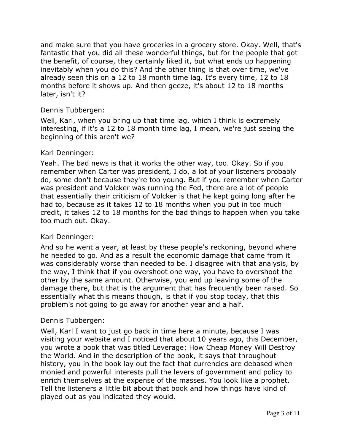and make sure that you have groceries in a grocery store. Okay. Well, that's fantastic that you did all these wonderful things, but for the people that got the benefit, of course, they certainly liked it, but what ends up happening inevitably when you do this? And the other thing is that over time, we've already seen this on a 12 to 18 month time lag. It's every time, 12 to 18 months before it shows up. And then geeze, it's about 12 to 18 months later, isn't it?

# Dennis Tubbergen:

Well, Karl, when you bring up that time lag, which I think is extremely interesting, if it's a 12 to 18 month time lag, I mean, we're just seeing the beginning of this aren't we?

## Karl Denninger:

Yeah. The bad news is that it works the other way, too. Okay. So if you remember when Carter was president, I do, a lot of your listeners probably do, some don't because they're too young. But if you remember when Carter was president and Volcker was running the Fed, there are a lot of people that essentially their criticism of Volcker is that he kept going long after he had to, because as it takes 12 to 18 months when you put in too much credit, it takes 12 to 18 months for the bad things to happen when you take too much out. Okay.

## Karl Denninger:

And so he went a year, at least by these people's reckoning, beyond where he needed to go. And as a result the economic damage that came from it was considerably worse than needed to be. I disagree with that analysis, by the way, I think that if you overshoot one way, you have to overshoot the other by the same amount. Otherwise, you end up leaving some of the damage there, but that is the argument that has frequently been raised. So essentially what this means though, is that if you stop today, that this problem's not going to go away for another year and a half.

# Dennis Tubbergen:

Well, Karl I want to just go back in time here a minute, because I was visiting your website and I noticed that about 10 years ago, this December, you wrote a book that was titled Leverage: How Cheap Money Will Destroy the World. And in the description of the book, it says that throughout history, you in the book lay out the fact that currencies are debased when monied and powerful interests pull the levers of government and policy to enrich themselves at the expense of the masses. You look like a prophet. Tell the listeners a little bit about that book and how things have kind of played out as you indicated they would.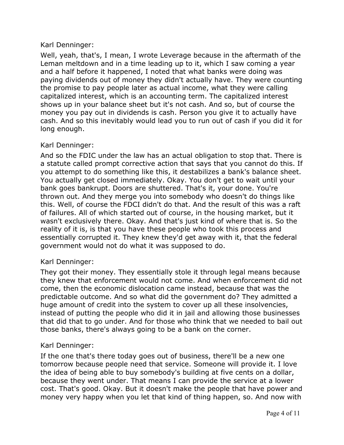Well, yeah, that's, I mean, I wrote Leverage because in the aftermath of the Leman meltdown and in a time leading up to it, which I saw coming a year and a half before it happened, I noted that what banks were doing was paying dividends out of money they didn't actually have. They were counting the promise to pay people later as actual income, what they were calling capitalized interest, which is an accounting term. The capitalized interest shows up in your balance sheet but it's not cash. And so, but of course the money you pay out in dividends is cash. Person you give it to actually have cash. And so this inevitably would lead you to run out of cash if you did it for long enough.

# Karl Denninger:

And so the FDIC under the law has an actual obligation to stop that. There is a statute called prompt corrective action that says that you cannot do this. If you attempt to do something like this, it destabilizes a bank's balance sheet. You actually get closed immediately. Okay. You don't get to wait until your bank goes bankrupt. Doors are shuttered. That's it, your done. You're thrown out. And they merge you into somebody who doesn't do things like this. Well, of course the FDCI didn't do that. And the result of this was a raft of failures. All of which started out of course, in the housing market, but it wasn't exclusively there. Okay. And that's just kind of where that is. So the reality of it is, is that you have these people who took this process and essentially corrupted it. They knew they'd get away with it, that the federal government would not do what it was supposed to do.

# Karl Denninger:

They got their money. They essentially stole it through legal means because they knew that enforcement would not come. And when enforcement did not come, then the economic dislocation came instead, because that was the predictable outcome. And so what did the government do? They admitted a huge amount of credit into the system to cover up all these insolvencies, instead of putting the people who did it in jail and allowing those businesses that did that to go under. And for those who think that we needed to bail out those banks, there's always going to be a bank on the corner.

# Karl Denninger:

If the one that's there today goes out of business, there'll be a new one tomorrow because people need that service. Someone will provide it. I love the idea of being able to buy somebody's building at five cents on a dollar, because they went under. That means I can provide the service at a lower cost. That's good. Okay. But it doesn't make the people that have power and money very happy when you let that kind of thing happen, so. And now with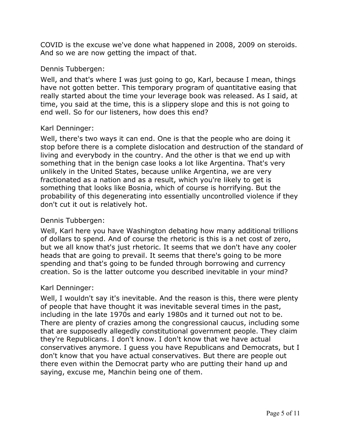COVID is the excuse we've done what happened in 2008, 2009 on steroids. And so we are now getting the impact of that.

## Dennis Tubbergen:

Well, and that's where I was just going to go, Karl, because I mean, things have not gotten better. This temporary program of quantitative easing that really started about the time your leverage book was released. As I said, at time, you said at the time, this is a slippery slope and this is not going to end well. So for our listeners, how does this end?

## Karl Denninger:

Well, there's two ways it can end. One is that the people who are doing it stop before there is a complete dislocation and destruction of the standard of living and everybody in the country. And the other is that we end up with something that in the benign case looks a lot like Argentina. That's very unlikely in the United States, because unlike Argentina, we are very fractionated as a nation and as a result, which you're likely to get is something that looks like Bosnia, which of course is horrifying. But the probability of this degenerating into essentially uncontrolled violence if they don't cut it out is relatively hot.

## Dennis Tubbergen:

Well, Karl here you have Washington debating how many additional trillions of dollars to spend. And of course the rhetoric is this is a net cost of zero, but we all know that's just rhetoric. It seems that we don't have any cooler heads that are going to prevail. It seems that there's going to be more spending and that's going to be funded through borrowing and currency creation. So is the latter outcome you described inevitable in your mind?

## Karl Denninger:

Well, I wouldn't say it's inevitable. And the reason is this, there were plenty of people that have thought it was inevitable several times in the past, including in the late 1970s and early 1980s and it turned out not to be. There are plenty of crazies among the congressional caucus, including some that are supposedly allegedly constitutional government people. They claim they're Republicans. I don't know. I don't know that we have actual conservatives anymore. I guess you have Republicans and Democrats, but I don't know that you have actual conservatives. But there are people out there even within the Democrat party who are putting their hand up and saying, excuse me, Manchin being one of them.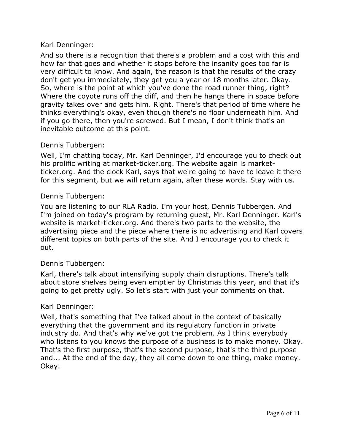And so there is a recognition that there's a problem and a cost with this and how far that goes and whether it stops before the insanity goes too far is very difficult to know. And again, the reason is that the results of the crazy don't get you immediately, they get you a year or 18 months later. Okay. So, where is the point at which you've done the road runner thing, right? Where the coyote runs off the cliff, and then he hangs there in space before gravity takes over and gets him. Right. There's that period of time where he thinks everything's okay, even though there's no floor underneath him. And if you go there, then you're screwed. But I mean, I don't think that's an inevitable outcome at this point.

# Dennis Tubbergen:

Well, I'm chatting today, Mr. Karl Denninger, I'd encourage you to check out his prolific writing at market-ticker.org. The website again is marketticker.org. And the clock Karl, says that we're going to have to leave it there for this segment, but we will return again, after these words. Stay with us.

# Dennis Tubbergen:

You are listening to our RLA Radio. I'm your host, Dennis Tubbergen. And I'm joined on today's program by returning guest, Mr. Karl Denninger. Karl's website is market-ticker.org. And there's two parts to the website, the advertising piece and the piece where there is no advertising and Karl covers different topics on both parts of the site. And I encourage you to check it out.

# Dennis Tubbergen:

Karl, there's talk about intensifying supply chain disruptions. There's talk about store shelves being even emptier by Christmas this year, and that it's going to get pretty ugly. So let's start with just your comments on that.

# Karl Denninger:

Well, that's something that I've talked about in the context of basically everything that the government and its regulatory function in private industry do. And that's why we've got the problem. As I think everybody who listens to you knows the purpose of a business is to make money. Okay. That's the first purpose, that's the second purpose, that's the third purpose and... At the end of the day, they all come down to one thing, make money. Okay.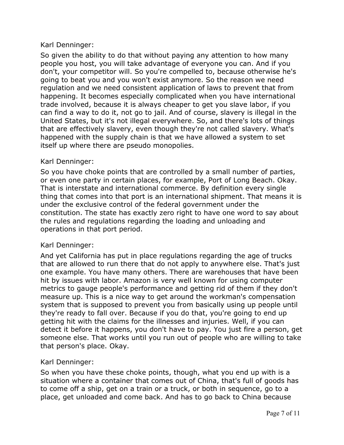So given the ability to do that without paying any attention to how many people you host, you will take advantage of everyone you can. And if you don't, your competitor will. So you're compelled to, because otherwise he's going to beat you and you won't exist anymore. So the reason we need regulation and we need consistent application of laws to prevent that from happening. It becomes especially complicated when you have international trade involved, because it is always cheaper to get you slave labor, if you can find a way to do it, not go to jail. And of course, slavery is illegal in the United States, but it's not illegal everywhere. So, and there's lots of things that are effectively slavery, even though they're not called slavery. What's happened with the supply chain is that we have allowed a system to set itself up where there are pseudo monopolies.

# Karl Denninger:

So you have choke points that are controlled by a small number of parties, or even one party in certain places, for example, Port of Long Beach. Okay. That is interstate and international commerce. By definition every single thing that comes into that port is an international shipment. That means it is under the exclusive control of the federal government under the constitution. The state has exactly zero right to have one word to say about the rules and regulations regarding the loading and unloading and operations in that port period.

# Karl Denninger:

And yet California has put in place regulations regarding the age of trucks that are allowed to run there that do not apply to anywhere else. That's just one example. You have many others. There are warehouses that have been hit by issues with labor. Amazon is very well known for using computer metrics to gauge people's performance and getting rid of them if they don't measure up. This is a nice way to get around the workman's compensation system that is supposed to prevent you from basically using up people until they're ready to fall over. Because if you do that, you're going to end up getting hit with the claims for the illnesses and injuries. Well, if you can detect it before it happens, you don't have to pay. You just fire a person, get someone else. That works until you run out of people who are willing to take that person's place. Okay.

# Karl Denninger:

So when you have these choke points, though, what you end up with is a situation where a container that comes out of China, that's full of goods has to come off a ship, get on a train or a truck, or both in sequence, go to a place, get unloaded and come back. And has to go back to China because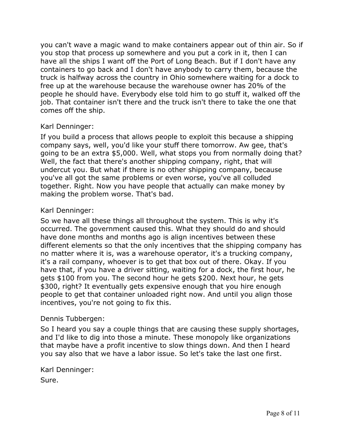you can't wave a magic wand to make containers appear out of thin air. So if you stop that process up somewhere and you put a cork in it, then I can have all the ships I want off the Port of Long Beach. But if I don't have any containers to go back and I don't have anybody to carry them, because the truck is halfway across the country in Ohio somewhere waiting for a dock to free up at the warehouse because the warehouse owner has 20% of the people he should have. Everybody else told him to go stuff it, walked off the job. That container isn't there and the truck isn't there to take the one that comes off the ship.

# Karl Denninger:

If you build a process that allows people to exploit this because a shipping company says, well, you'd like your stuff there tomorrow. Aw gee, that's going to be an extra \$5,000. Well, what stops you from normally doing that? Well, the fact that there's another shipping company, right, that will undercut you. But what if there is no other shipping company, because you've all got the same problems or even worse, you've all colluded together. Right. Now you have people that actually can make money by making the problem worse. That's bad.

# Karl Denninger:

So we have all these things all throughout the system. This is why it's occurred. The government caused this. What they should do and should have done months and months ago is align incentives between these different elements so that the only incentives that the shipping company has no matter where it is, was a warehouse operator, it's a trucking company, it's a rail company, whoever is to get that box out of there. Okay. If you have that, if you have a driver sitting, waiting for a dock, the first hour, he gets \$100 from you. The second hour he gets \$200. Next hour, he gets \$300, right? It eventually gets expensive enough that you hire enough people to get that container unloaded right now. And until you align those incentives, you're not going to fix this.

# Dennis Tubbergen:

So I heard you say a couple things that are causing these supply shortages, and I'd like to dig into those a minute. These monopoly like organizations that maybe have a profit incentive to slow things down. And then I heard you say also that we have a labor issue. So let's take the last one first.

# Karl Denninger:

Sure.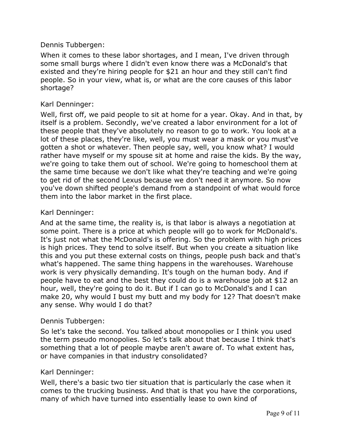# Dennis Tubbergen:

When it comes to these labor shortages, and I mean, I've driven through some small burgs where I didn't even know there was a McDonald's that existed and they're hiring people for \$21 an hour and they still can't find people. So in your view, what is, or what are the core causes of this labor shortage?

## Karl Denninger:

Well, first off, we paid people to sit at home for a year. Okay. And in that, by itself is a problem. Secondly, we've created a labor environment for a lot of these people that they've absolutely no reason to go to work. You look at a lot of these places, they're like, well, you must wear a mask or you must've gotten a shot or whatever. Then people say, well, you know what? I would rather have myself or my spouse sit at home and raise the kids. By the way, we're going to take them out of school. We're going to homeschool them at the same time because we don't like what they're teaching and we're going to get rid of the second Lexus because we don't need it anymore. So now you've down shifted people's demand from a standpoint of what would force them into the labor market in the first place.

## Karl Denninger:

And at the same time, the reality is, is that labor is always a negotiation at some point. There is a price at which people will go to work for McDonald's. It's just not what the McDonald's is offering. So the problem with high prices is high prices. They tend to solve itself. But when you create a situation like this and you put these external costs on things, people push back and that's what's happened. The same thing happens in the warehouses. Warehouse work is very physically demanding. It's tough on the human body. And if people have to eat and the best they could do is a warehouse job at \$12 an hour, well, they're going to do it. But if I can go to McDonald's and I can make 20, why would I bust my butt and my body for 12? That doesn't make any sense. Why would I do that?

## Dennis Tubbergen:

So let's take the second. You talked about monopolies or I think you used the term pseudo monopolies. So let's talk about that because I think that's something that a lot of people maybe aren't aware of. To what extent has, or have companies in that industry consolidated?

## Karl Denninger:

Well, there's a basic two tier situation that is particularly the case when it comes to the trucking business. And that is that you have the corporations, many of which have turned into essentially lease to own kind of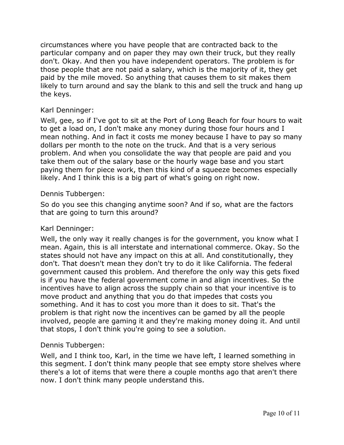circumstances where you have people that are contracted back to the particular company and on paper they may own their truck, but they really don't. Okay. And then you have independent operators. The problem is for those people that are not paid a salary, which is the majority of it, they get paid by the mile moved. So anything that causes them to sit makes them likely to turn around and say the blank to this and sell the truck and hang up the keys.

# Karl Denninger:

Well, gee, so if I've got to sit at the Port of Long Beach for four hours to wait to get a load on, I don't make any money during those four hours and I mean nothing. And in fact it costs me money because I have to pay so many dollars per month to the note on the truck. And that is a very serious problem. And when you consolidate the way that people are paid and you take them out of the salary base or the hourly wage base and you start paying them for piece work, then this kind of a squeeze becomes especially likely. And I think this is a big part of what's going on right now.

## Dennis Tubbergen:

So do you see this changing anytime soon? And if so, what are the factors that are going to turn this around?

## Karl Denninger:

Well, the only way it really changes is for the government, you know what I mean. Again, this is all interstate and international commerce. Okay. So the states should not have any impact on this at all. And constitutionally, they don't. That doesn't mean they don't try to do it like California. The federal government caused this problem. And therefore the only way this gets fixed is if you have the federal government come in and align incentives. So the incentives have to align across the supply chain so that your incentive is to move product and anything that you do that impedes that costs you something. And it has to cost you more than it does to sit. That's the problem is that right now the incentives can be gamed by all the people involved, people are gaming it and they're making money doing it. And until that stops, I don't think you're going to see a solution.

# Dennis Tubbergen:

Well, and I think too, Karl, in the time we have left, I learned something in this segment. I don't think many people that see empty store shelves where there's a lot of items that were there a couple months ago that aren't there now. I don't think many people understand this.